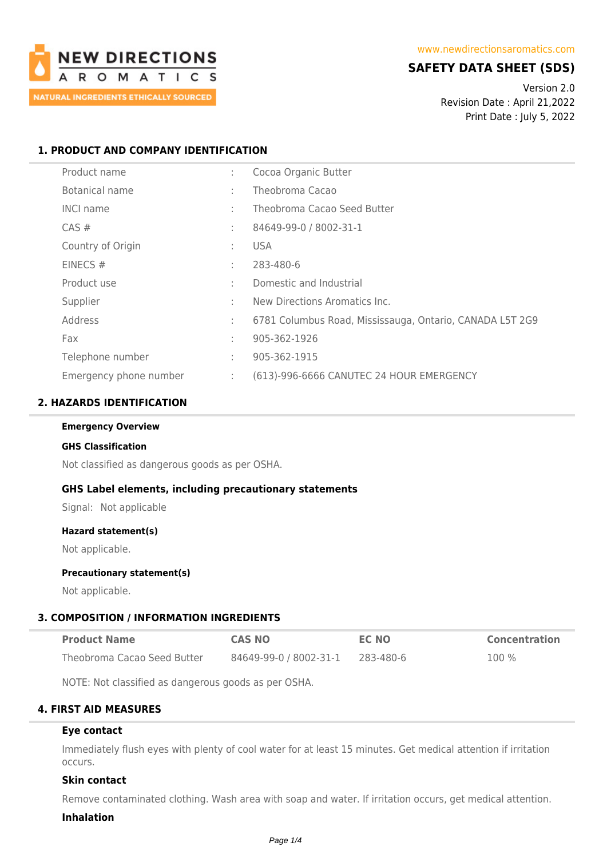

# **SAFETY DATA SHEET (SDS)**

Version 2.0 Revision Date : April 21,2022 Print Date : July 5, 2022

## **1. PRODUCT AND COMPANY IDENTIFICATION**

| Product name           | ÷ | Cocoa Organic Butter                                     |
|------------------------|---|----------------------------------------------------------|
| Botanical name         | ÷ | Theobroma Cacao                                          |
| <b>INCI name</b>       | ÷ | Theobroma Cacao Seed Butter                              |
| $CAS \#$               | ÷ | 84649-99-0 / 8002-31-1                                   |
| Country of Origin      | ٠ | USA.                                                     |
| EINECS#                | ٠ | 283-480-6                                                |
| Product use            | ÷ | Domestic and Industrial                                  |
| Supplier               | ٠ | New Directions Aromatics Inc.                            |
| Address                | ÷ | 6781 Columbus Road, Mississauga, Ontario, CANADA L5T 2G9 |
| Fax                    | ÷ | 905-362-1926                                             |
| Telephone number       | ÷ | 905-362-1915                                             |
| Emergency phone number | ÷ | (613)-996-6666 CANUTEC 24 HOUR EMERGENCY                 |

### **2. HAZARDS IDENTIFICATION**

**Emergency Overview**

#### **GHS Classification**

Not classified as dangerous goods as per OSHA.

### **GHS Label elements, including precautionary statements**

Signal: Not applicable

#### **Hazard statement(s)**

Not applicable.

### **Precautionary statement(s)**

Not applicable.

### **3. COMPOSITION / INFORMATION INGREDIENTS**

| <b>Product Name</b>         | <b>CAS NO</b>          | <b>EC NO</b> | <b>Concentration</b> |
|-----------------------------|------------------------|--------------|----------------------|
| Theobroma Cacao Seed Butter | 84649-99-0 / 8002-31-1 | 283-480-6    | 100 %                |

NOTE: Not classified as dangerous goods as per OSHA.

## **4. FIRST AID MEASURES**

#### **Eye contact**

Immediately flush eyes with plenty of cool water for at least 15 minutes. Get medical attention if irritation occurs.

### **Skin contact**

Remove contaminated clothing. Wash area with soap and water. If irritation occurs, get medical attention.

#### **Inhalation**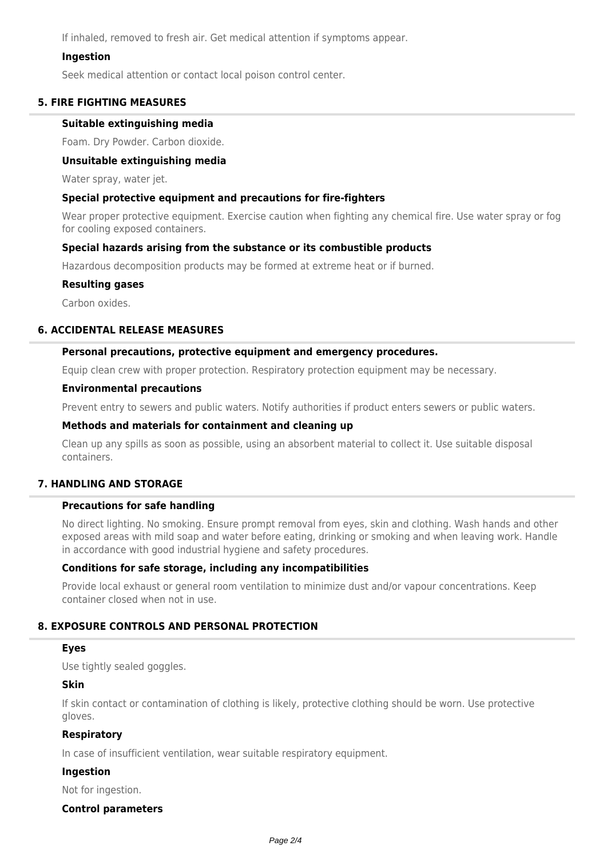If inhaled, removed to fresh air. Get medical attention if symptoms appear.

### **Ingestion**

Seek medical attention or contact local poison control center.

### **5. FIRE FIGHTING MEASURES**

#### **Suitable extinguishing media**

Foam. Dry Powder. Carbon dioxide.

### **Unsuitable extinguishing media**

Water spray, water jet.

### **Special protective equipment and precautions for fire-fighters**

Wear proper protective equipment. Exercise caution when fighting any chemical fire. Use water spray or fog for cooling exposed containers.

### **Special hazards arising from the substance or its combustible products**

Hazardous decomposition products may be formed at extreme heat or if burned.

### **Resulting gases**

Carbon oxides.

## **6. ACCIDENTAL RELEASE MEASURES**

### **Personal precautions, protective equipment and emergency procedures.**

Equip clean crew with proper protection. Respiratory protection equipment may be necessary.

#### **Environmental precautions**

Prevent entry to sewers and public waters. Notify authorities if product enters sewers or public waters.

#### **Methods and materials for containment and cleaning up**

Clean up any spills as soon as possible, using an absorbent material to collect it. Use suitable disposal containers.

### **7. HANDLING AND STORAGE**

### **Precautions for safe handling**

No direct lighting. No smoking. Ensure prompt removal from eyes, skin and clothing. Wash hands and other exposed areas with mild soap and water before eating, drinking or smoking and when leaving work. Handle in accordance with good industrial hygiene and safety procedures.

### **Conditions for safe storage, including any incompatibilities**

Provide local exhaust or general room ventilation to minimize dust and/or vapour concentrations. Keep container closed when not in use.

### **8. EXPOSURE CONTROLS AND PERSONAL PROTECTION**

#### **Eyes**

Use tightly sealed goggles.

## **Skin**

If skin contact or contamination of clothing is likely, protective clothing should be worn. Use protective gloves.

### **Respiratory**

In case of insufficient ventilation, wear suitable respiratory equipment.

### **Ingestion**

Not for ingestion.

### **Control parameters**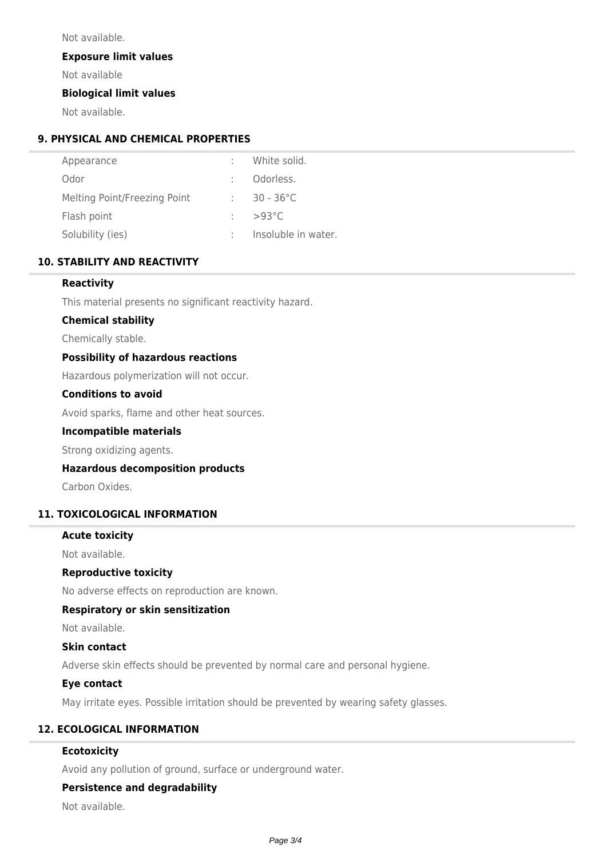Not available.

**Exposure limit values**

Not available

### **Biological limit values**

Not available.

# **9. PHYSICAL AND CHEMICAL PROPERTIES**

| Appearance                   | White solid.        |
|------------------------------|---------------------|
| Odor                         | Odorless.           |
| Melting Point/Freezing Point | $30 - 36^{\circ}$ C |
| Flash point                  | $>93^{\circ}$ C     |
| Solubility (ies)             | Insoluble in water. |

## **10. STABILITY AND REACTIVITY**

### **Reactivity**

This material presents no significant reactivity hazard.

### **Chemical stability**

Chemically stable.

### **Possibility of hazardous reactions**

Hazardous polymerization will not occur.

### **Conditions to avoid**

Avoid sparks, flame and other heat sources.

### **Incompatible materials**

Strong oxidizing agents.

### **Hazardous decomposition products**

Carbon Oxides.

### **11. TOXICOLOGICAL INFORMATION**

### **Acute toxicity**

Not available.

### **Reproductive toxicity**

No adverse effects on reproduction are known.

### **Respiratory or skin sensitization**

Not available.

### **Skin contact**

Adverse skin effects should be prevented by normal care and personal hygiene.

### **Eye contact**

May irritate eyes. Possible irritation should be prevented by wearing safety glasses.

# **12. ECOLOGICAL INFORMATION**

## **Ecotoxicity**

Avoid any pollution of ground, surface or underground water.

# **Persistence and degradability**

Not available.